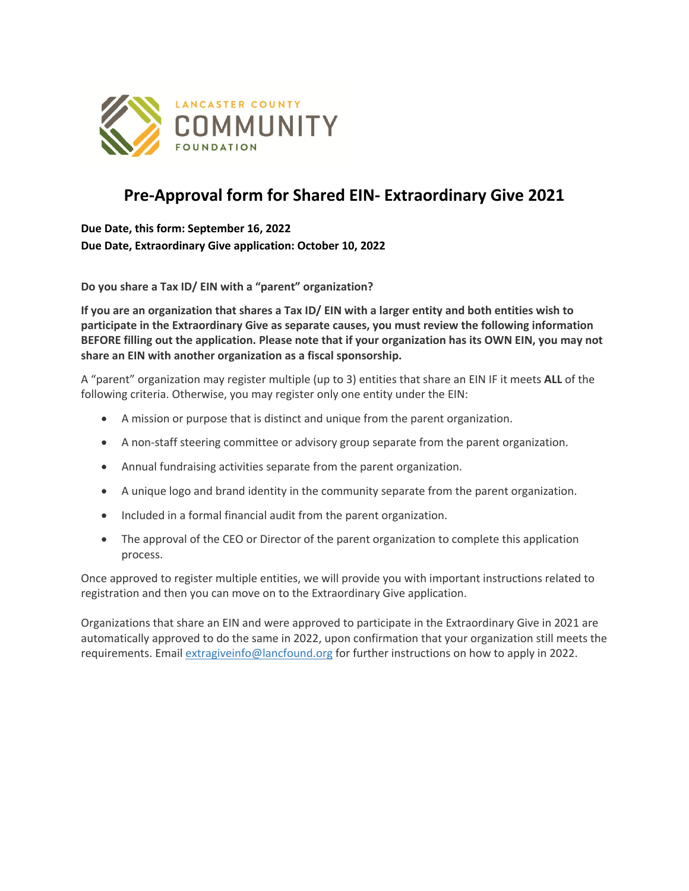

## **Pre-Approval form for Shared EIN- Extraordinary Give 2021**

**Due Date, this form: September 16, 2022 Due Date, Extraordinary Give application: October 10, 2022**

**Do you share a Tax ID/ EIN with a "parent" organization?**

**If you are an organization that shares a Tax ID/ EIN with a larger entity and both entities wish to participate in the Extraordinary Give as separate causes, you must review the following information BEFORE filling out the application. Please note that if your organization has its OWN EIN, you may not share an EIN with another organization as a fiscal sponsorship.**

A "parent" organization may register multiple (up to 3) entities that share an EIN IF it meets **ALL** of the following criteria. Otherwise, you may register only one entity under the EIN:

- A mission or purpose that is distinct and unique from the parent organization.
- A non-staff steering committee or advisory group separate from the parent organization.
- Annual fundraising activities separate from the parent organization.
- A unique logo and brand identity in the community separate from the parent organization.
- Included in a formal financial audit from the parent organization.
- The approval of the CEO or Director of the parent organization to complete this application process.

Once approved to register multiple entities, we will provide you with important instructions related to registration and then you can move on to the Extraordinary Give application.

Organizations that share an EIN and were approved to participate in the Extraordinary Give in 2021 are automatically approved to do the same in 2022, upon confirmation that your organization still meets the requirements. Email extragiveinfo@lancfound.org for further instructions on how to apply in 2022.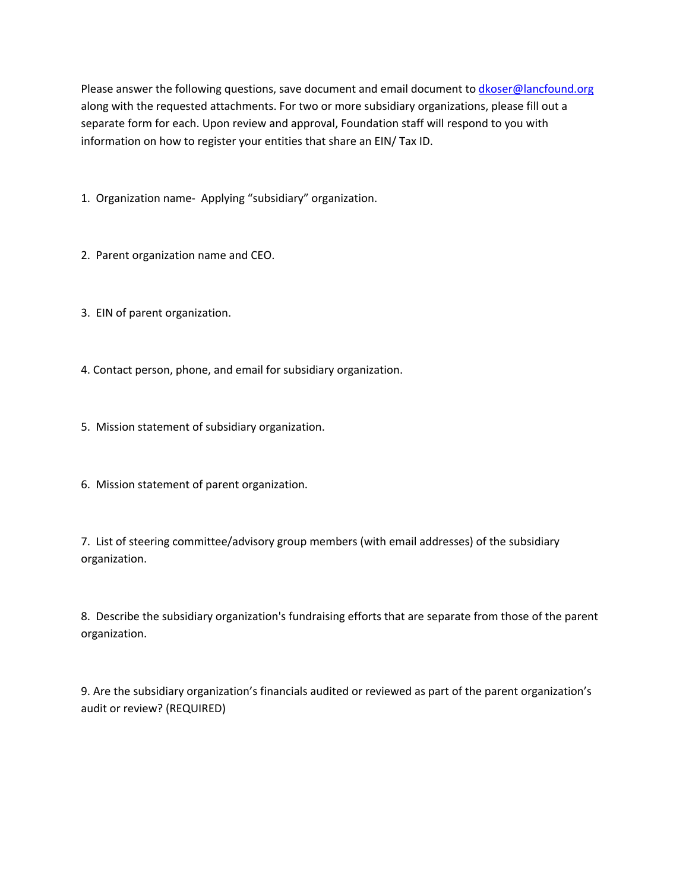Please answer the following questions, save document and email document to dkoser@lancfound.org along with the requested attachments. For two or more subsidiary organizations, please fill out a separate form for each. Upon review and approval, Foundation staff will respond to you with information on how to register your entities that share an EIN/ Tax ID.

1. Organization name- Applying "subsidiary" organization.

2. Parent organization name and CEO.

3. EIN of parent organization.

4. Contact person, phone, and email for subsidiary organization.

5. Mission statement of subsidiary organization.

6. Mission statement of parent organization.

7. List of steering committee/advisory group members (with email addresses) of the subsidiary organization.

8. Describe the subsidiary organization's fundraising efforts that are separate from those of the parent organization.

9. Are the subsidiary organization's financials audited or reviewed as part of the parent organization's audit or review? (REQUIRED)